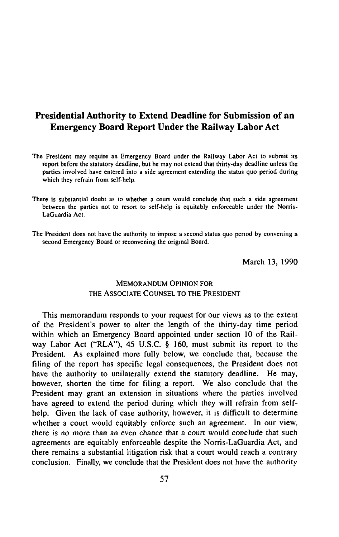# **Presidential Authority to Extend Deadline for Submission of an Emergency Board Report Under the Railway Labor Act**

- The President may require an Emergency Board under the Railway Labor Act to submit its report before the statutory deadline, but he may not extend that thirty-day deadline unless the parties involved have entered into a side agreement extending the status quo period during which they refrain from self-help.
- There is substantial doubt as to whether a court would conclude that such a side agreement between the parties not to resort to self-help is equitably enforceable under the Norris-LaGuardia Act.
- The President does not have the authority to impose a second status quo period by convening a second Emergency Board or reconvening the original Board.

March 13, 1990

## **MEMORANDUM OPINION FOR** THE ASSOCIATE COUNSEL TO THE PRESIDENT

This memorandum responds to your request for our views as to the extent of the President's power to alter the length of the thirty-day time period within which an Emergency Board appointed under section 10 of the Railway Labor Act ("RLA"), 45 U.S.C. § 160, must submit its report to the President. As explained more fully below, we conclude that, because the filing of the report has specific legal consequences, the President does not have the authority to unilaterally extend the statutory deadline. He may, however, shorten the time for filing a report. We also conclude that the President may grant an extension in situations where the parties involved have agreed to extend the period during which they will refrain from selfhelp. Given the lack of case authority, however, it is difficult to determine whether a court would equitably enforce such an agreement. In our view, there is no more than an even chance that a court would conclude that such agreements are equitably enforceable despite the Norris-LaGuardia Act, and there remains a substantial litigation risk that a court would reach a contrary conclusion. Finally, we conclude that the President does not have the authority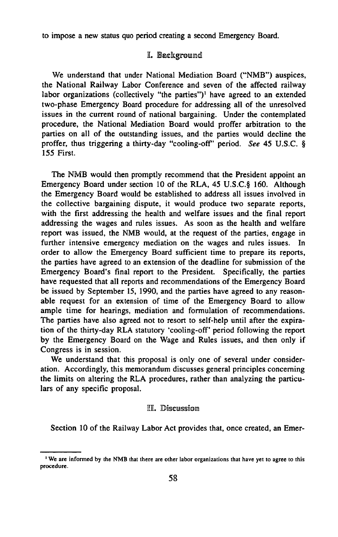to impose a new status quo period creating a second Emergency Board.

## I. Background

We understand that under National Mediation Board ("NMB") auspices, the National Railway Labor Conference and seven of the affected railway labor organizations (collectively "the parties")<sup>1</sup> have agreed to an extended two-phase Emergency Board procedure for addressing all of the unresolved issues in the current round of national bargaining. Under the contemplated procedure, the National Mediation Board would proffer arbitration to the parties on all of the outstanding issues, and the parties would decline the proffer, thus triggering a thirty-day "cooling-off' period. *See* 45 U.S.C. § 155 First.

The NMB would then promptly recommend that the President appoint an Emergency Board under section 10 of the RLA, 45 U.S.C.§ 160. Although the Emergency Board would be established to address all issues involved in the collective bargaining dispute, it would produce two separate reports, with the first addressing the health and welfare issues and the final report addressing the wages and rules issues. As soon as the health and welfare report was issued, the NMB would, at the request of the parties, engage in further intensive emergency mediation on the wages and rules issues. In order to allow the Emergency Board sufficient time to prepare its reports, the parties have agreed to an extension of the deadline for submission of the Emergency Board's final report to the President. Specifically, the parties have requested that all reports and recommendations of the Emergency Board be issued by September 15, 1990, and the parties have agreed to any reasonable request for an extension of time of the Emergency Board to allow ample time for hearings, mediation and formulation of recommendations. The parties have also agreed not to resort to self-help until after the expiration of the thirty-day RLA statutory 'cooling-off' period following the report by the Emergency Board on the Wage and Rules issues, and then only if Congress is in session.

We understand that this proposal is only one of several under consideration. Accordingly, this memorandum discusses general principles concerning the limits on altering the RLA procedures, rather than analyzing the particulars of any specific proposal.

#### **EL Discussions**

Section 10 of the Railway Labor Act provides that, once created, an Emer

<sup>&</sup>lt;sup>1</sup> We are informed by the NMB that there are other labor organizations that have yet to agree to this procedure.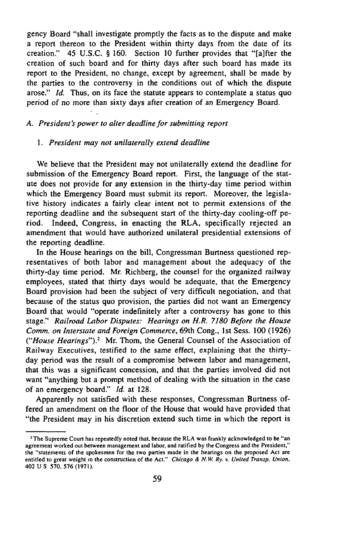gency Board "shall investigate promptly the facts as to the dispute and make a report thereon to the President within thirty days from the date of its creation." 45 U.S.C. § 160. Section 10 further provides that "[a]fter the creation of such board and for thirty days after such board has made its report to the President, no change, except by agreement, shall be made by the parties to the controversy in the conditions out of which the dispute arose." *Id.* Thus, on its face the statute appears to contemplate a status quo period of no more than sixty days after creation of an Emergency Board.

#### A. President's power to alter deadline for submitting report

#### 1. *President may not unilaterally extend deadline*

We believe that the President may not unilaterally extend the deadline for submission of the Emergency Board report. First, the language of the statute does not provide for any extension in the thirty-day time period within which the Emergency Board must submit its report. Moreover, the legislative history indicates a fairly clear intent not to permit extensions of the reporting deadline and the subsequent start of the thirty-day cooling-off period. Indeed, Congress, in enacting the RLA, specifically rejected an amendment that would have authorized unilateral presidential extensions of the reporting deadline.

In the House hearings on the bill, Congressman Burtness questioned representatives of both labor and management about the adequacy of the thirty-day time period. Mr. Richberg, the counsel for the organized railway employees, stated that thirty days would be adequate, that the Emergency Board provision had been the subject of very difficult negotiation, and that because of the status quo provision, the parties did not want an Emergency Board that would "operate indefinitely after a controversy has gone to this stage." *Railroad Labor Disputes: Hearings on H.R. 7180 Before the House Comm, on Interstate and Foreign Commerce,* 69th Cong., 1st Sess. 100 (1926) *("House Hearings").2* Mr. Thom, the General Counsel of the Association of Railway Executives, testified to the same *effect,* explaining that the thirtyday period was the result of a compromise between labor and management, that this was a significant concession, and that the parties involved did not want "anything but a prompt method of dealing with the situation in the case of an emergency board." *Id.* at 128.

Apparently not satisfied with these responses, Congressman Burtness offered an amendment on the floor of the House that would have provided that "the President may in his discretion extend such time in which the report is

<sup>&</sup>lt;sup>2</sup> The Supreme Court has repeatedly noted that, because the RLA was frankly acknowledged to be "an agreement worked out between management and labor, and ratified by the Congress and the President," the "statements of the spokesmen for the two parties made in the hearings on the proposed Act are entitled to great weight in the construction of the Act." *Chicago & N.W. Ry. v. United Transp. Union,* 402 U S 570, 576 (1971).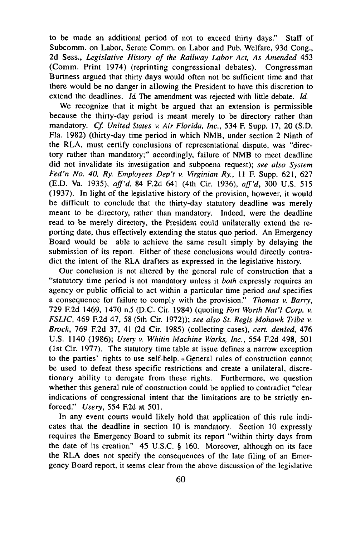to be made an additional period of not to exceed thirty days." Staff of Subcomm. on Labor, Senate Comm, on Labor and Pub. Welfare, 93d Cong., 2d Sess., *Legislative History of the Railway Labor Act, As Amended* 453 (Comm. Print 1974) (reprinting congressional debates). Congressman Burtness argued that thirty days would often not be sufficient time and that there would be no danger in allowing the President to have this discretion to extend the deadlines. *Id.* The amendment was rejected with little debate. *Id.*

We recognize that it might be argued that an extension is permissible because the thirty-day period is meant merely to be directory rather than mandatory. *Cf. United States* v. *Air Florida, Inc.,* 534 F. Supp. 17, 20 (S.D. Fla. 1982) (thirty-day time period in which NMB, under section 2 Ninth of the RLA, must certify conclusions of representational dispute, was "directory rather than mandatory;" accordingly, failure of NMB to meet deadline did not invalidate its investigation and subpoena request); *see also System Fed'n No. 40, Ry. Employees Dep't v. Virginian Ry., 11 F. Supp. 621, 627* (E.D. Va. 1935), *aff'd*, 84 F.2d 641 (4th Cir. 1936), *aff'd*, 300 U.S. 515 (1937). In light of the legislative history of the provision, however, it would be difficult to conclude that the thirty-day statutory deadline was merely meant to be directory, rather than mandatory. Indeed, were the deadline read to be merely directory, the President could unilaterally extend the reporting date, thus effectively extending the status quo period. An Emergency Board would be able to achieve the same result simply by delaying the submission of its report. Either of these conclusions would directly contradict the intent of the RLA drafters as expressed in the legislative history.

Our conclusion is not altered by the general rule of construction that a "statutory time period is not mandatory unless it *both* expressly requires an agency or public official to act within a particular time period *and* specifies a consequence for failure to comply with the provision." *Thomas* v. *Barry,* 729 F.2d 1469, 1470 n.5 (D.C. Cir. 1984) (quoting *Fort Worth Nat'l Corp. v. FSLIC,* 469 F.2d 47, 58 (5th Cir. 1972)); *see also St. Regis Mohawk Tribe* v. *Brock,* 769 F.2d 37, 41 (2d Cir. 1985) (collecting cases), *cert, denied,* 476 U.S. 1140 (1986); *Usery* v. *Whitin Machine Works, Inc.,* 554 F.2d 498, 501 (1st Cir. 1977). The statutory time table at issue defines a narrow exception to the parties' rights to use self-help. .General rules of construction cannot be used to defeat these specific restrictions and create a unilateral, discretionary ability to derogate from these rights. Furthermore, we question whether this general rule of construction could be applied to contradict "clear indications of congressional intent that the limitations are to be strictly enforced." *Usery,* 554 F.2d at 501.

In any event courts would likely hold that application of this rule indicates that the deadline in section 10 is mandatory. Section 10 expressly requires the Emergency Board to submit its report "within thirty days from the date of its creation." 45 U.S.C. § 160. Moreover, although on its face the RLA does not specify the consequences of the late filing of an Emergency Board report, it seems clear from the above discussion of the legislative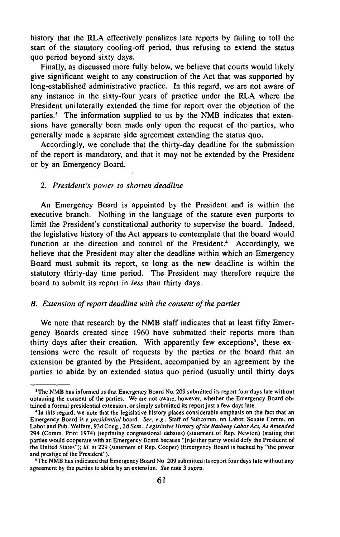history that the RLA effectively penalizes late reports by failing to toll the start of the statutory cooling-off period, thus refusing to extend the status quo period beyond sixty days.

Finally, as discussed more fully below, we believe that courts would likely give significant weight to any construction of the Act that was supported by long-established administrative practice. In this regard, we are not aware of any instance in the sixty-four years of practice under the RLA where the President unilaterally extended the time for report over the objection of the parties.3 The information supplied to us by the NMB indicates that extensions have generally been made only upon the request of the parties, who generally made a separate side agreement extending the status quo.

Accordingly, we conclude that the thirty-day deadline for the submission of the report is mandatory, and that it may not be extended by the President or by an Emergency Board.

#### 2. *President's power to shorten deadline*

An Emergency Board is appointed by the President and is within the executive branch. Nothing in the language of the statute even purports to limit the President's constitutional authority to supervise the board. Indeed, the legislative history of the Act appears to contemplate that the board would function at the direction and control of the President.<sup>4</sup> Accordingly, we believe that the President may alter the deadline within which an Emergency Board must submit its report, so long as the new deadline is within the statutory thirty-day time period. The President may therefore require the board to submit its report in *less* than thirty days.

#### *B. Extension of report deadline with the consent of the parties*

We note that research by the NMB staff indicates that at least fifty Emergency Boards created since 1960 have submitted their reports more than thirty days after their creation. With apparently few exceptions<sup>5</sup>, these extensions were the result of requests by the parties or the board that an extension be granted by the President, accompanied by an agreement by the parties to abide by an extended status quo period (usually until thirty days

<sup>&</sup>lt;sup>3</sup> The NMB has informed us that Emergency Board No. 209 submitted its report four days late without obtaining the consent of the parties. We are not aware, however, whether the Emergency Board obtained a formal presidential extension, or simply submitted its report just a few days late.

<sup>&</sup>lt;sup>4</sup> In this regard, we note that the legislative history places considerable emphasis on the fact that an Emergency Board is a *presidential* board. *See, e.g.*, Staff of Subcomm. on Labor, Senate Comm. on Labor and Pub. Welfare, 93d Cong., 2d Sess., Legislative History of the Railway Labor Act, As Amended 294 (Comm. Print 1974) (reprinting congressional debates) (statement of Rep. Newton) (stating that parties would cooperate with an Emergency Board because "[n]either party would defy the President of the United States"); *id.* at 229 (statement of Rep. Cooper) (Emergency Board is backed by "the power and prestige of the President").

<sup>&</sup>lt;sup>5</sup> The NMB has indicated that Emergency Board No 209 submitted its report four days late without any agreem ent by the parties to abide by an extension. *See* note 3 *supra.*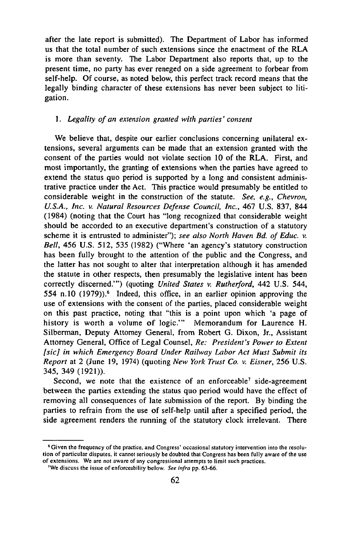after the late report is submitted). The Department of Labor has informed us that the total number of such extensions since the enactment of the RLA is more than seventy. The Labor Department also reports that, up to the present time, no party has ever reneged on a side agreement to forbear from self-help. Of course, as noted below, this perfect track record means that the legally binding character of these extensions has never been subject to litigation.

#### 1. Legality of an extension granted with parties' consent

We believe that, despite our earlier conclusions concerning unilateral extensions, several arguments can be made that an extension granted with the consent of the parties would not violate section 10 of the RLA. First, and most importantly, the granting of extensions when the parties have agreed to extend the status quo period is supported by a long and consistent administrative practice under the Act. This practice would presumably be entitled to considerable weight in the construction of the statute. *See, e.g.. Chevron, U.S.A., Inc.* v. *Natural Resources Defense Council, Inc.,* 467 U.S. 837, 844 (1984) (noting that the Court has "long recognized that considerable weight should be accorded to an executive department's construction of a statutory scheme it is entrusted to administer"); see also North Haven Bd. of Educ. v. *Bell,* 456 U.S. 512, 535 (1982) ("Where 'an agency's statutory construction has been fully brought to the attention of the public and the Congress, and the latter has not sought to alter that interpretation although it has amended the statute in other respects, then presumably the legislative intent has been correctly discerned.'") (quoting *United States* v. *Rutherford,* 442 U.S. 544, 554 n.10 (1979)).<sup>6</sup> Indeed, this office, in an earlier opinion approving the use of extensions with the consent of the parties, placed considerable weight on this past practice, noting that "this is a point upon which 'a page of history is worth a volume of logic." Memorandum for Laurence H. Silberman, Deputy Attorney General, from Robert G. Dixon, Jr., Assistant Attorney General, Office of Legal Counsel, *Re: President's Power to Extent [sic] in which Emergency Board Under Railway Labor Act Must Submit its Report* at 2 (June 19, 1974) (quoting *New York Trust Co.* v. *Eisner,* 256 U.S. 345, 349 (1921)).

Second, we note that the existence of an enforceable<sup>7</sup> side-agreement between the parties extending the status quo period would have the effect of removing all consequences of late submission of the report. By binding the parties to refrain from the use of self-help until after a specified period, the side agreement renders the running of the statutory clock irrelevant. There

<sup>&</sup>lt;sup>6</sup> Given the frequency of the practice, and Congress' occasional statutory intervention into the resolution of particular disputes, it cannot seriously be doubted that Congress has been fully aware of the use of extensions. We are not aware of any congressional attempts to limit such practices.

<sup>&</sup>lt;sup>7</sup>We discuss the issue of enforceability below. See infra pp. 63-66.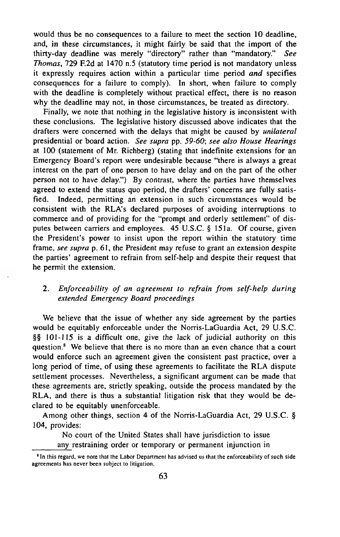would thus be no consequences to a failure to meet the section 10 deadline, and, in these circumstances, it might fairly be said that the import of the thirty-day deadline was merely "directory" rather than "mandatory." *See Thomas*, 729 F.2d at 1470 n.5 (statutory time period is not mandatory unless it expressly requires action within a particular time period *and* specifies consequences for a failure to comply). In short, when failure to comply with the deadline is completely without practical effect, there is no reason why the deadline may not, in those circumstances, be treated as directory.

Finally, we note that nothing in the legislative history is inconsistent with these conclusions. The legislative history discussed above indicates that the drafters were concerned with the delays that might be caused by *unilateral* presidential or board action. *See supra* pp. *59-60*; *see also House Hearings* at 100 (statement of Mr. Richberg) (stating that indefinite extensions for an Emergency Board's report were undesirable because "there is always a great interest on the part of one person to have delay and on the part of the other person not to have delay.") By contrast, where the parties have themselves agreed to extend the status quo period, the drafters' concerns are fully satisfied. Indeed, permitting an extension in such circumstances would be consistent with the RLA's declared purposes of avoiding interruptions to commerce and of providing for the "prompt and orderly settlement" of disputes between carriers and employees. 45 U.S.C. § 151a. Of course, given the President's power to insist upon the report within the statutory time frame, *see supra* p. 61, the President may refuse to grant an extension despite the parties' agreement to refrain from self-help and despite their request that he permit the extension.

# 2. *Enforceability of an agreement to refrain from self-help during extended Emergency Board proceedings*

We believe that the issue of whether any side agreement by the parties would be equitably enforceable under the Norris-LaGuardia Act, 29 U.S.C. §§ 101-115 is a difficult one, give the lack of judicial authority on this question.<sup>8</sup> We believe that there is no more than an even chance that a court would enforce such an agreement given the consistent past practice, over a long period of time, of using these agreements to facilitate the RLA dispute settlement processes. Nevertheless, a significant argument can be made that these agreements are, strictly speaking, outside the process mandated by the RLA, and there is thus a substantial litigation risk that they would be declared to be equitably unenforceable.

Among other things, section 4 of the Norris-LaGuardia Act, 29 U.S.C. § 104, provides:

No court of the United States shall have jurisdiction to issue any restraining order or temporary or permanent injunction in

<sup>&</sup>lt;sup>8</sup> In this regard, we note that the Labor Department has advised us that the enforceability of such side agreements has never been subject to litigation.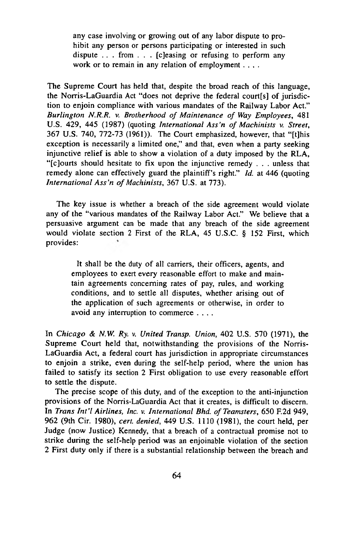any case involving or growing out of any labor dispute to prohibit any person or persons participating or interested in such dispute  $\ldots$  from  $\ldots$  [c] easing or refusing to perform any work or to remain in any relation of employment . . . .

The Supreme Court has held that, despite the broad reach of this language, the Norris-LaGuardia Act "does not deprive the federal court[s] of jurisdiction to enjoin compliance with various mandates of the Railway Labor Act." *Burlington N.R.R.* v. *Brotherhood of Maintenance of Way Employees,* 481 U.S. 429, 445 (1987) (quoting *International A ss'n of Machinists* v. *Street,* 367 U.S. 740, 772-73 (1961)). The Court emphasized, however, that "[t]his exception is necessarily a limited one," and that, even when a party seeking injunctive relief is able to show a violation of a duty imposed by the RLA, "[c]ourts should hesitate to fix upon the injunctive remedy . . . unless that remedy alone can effectively guard the plaintiff's right." *Id.* at 446 (quoting *International Ass'n of Machinists, 367 U.S. at 773).* 

The key issue is whether a breach of the side agreement would violate any of the "various mandates of the Railway Labor Act." We believe that a persuasive argument can be made that any breach of the side agreement would violate section 2 First of the RLA, 45 U.S.C. § 152 First, which provides:

It shall be the duty of all carriers, their officers, agents, and employees to exert every reasonable effort to make and maintain agreements concerning rates of pay, rules, and working conditions, and to settle all disputes, whether arising out of the application of such agreements or otherwise, in order to avoid any interruption to commerce ....

In *Chicago & N.W. Ry.* v. *United Transp. Union,* 402 U.S. 570 (1971), the Supreme Court held that, notwithstanding the provisions of the Norris-LaGuardia Act, a federal court has jurisdiction in appropriate circumstances to enjoin a strike, even during the self-help period, where the union has failed to satisfy its section 2 First obligation to use every reasonable effort to settle the dispute.

The precise scope of this duty, and of the exception to the anti-injunction provisions of the Norris-LaGuardia Act that it creates, is difficult to discern. In *Trans Int'l Airlines, Inc. v. International Bhd. of Teamsters*, 650 F.2d 949, 962 (9th Cir. 1980), *cert, denied,* 449 U.S. 1110 (1981), the court held, per Judge (now Justice) Kennedy, that a breach of a contractual promise not to strike during the self-help period was an enjoinable violation of the section 2 First duty only if there is a substantial relationship between the breach and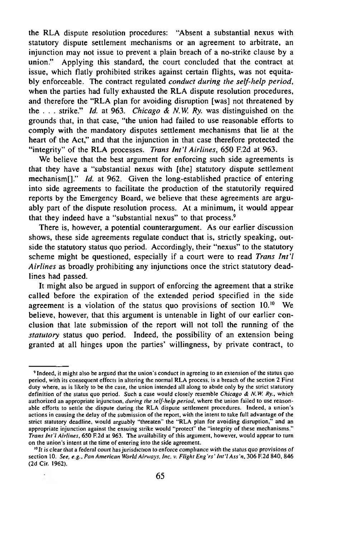the RLA dispute resolution procedures: "Absent a substantial nexus with statutory dispute settlement mechanisms or an agreement to arbitrate, an injunction may not issue to prevent a plain breach of a no-strike clause by a union." Applying this standard, the court concluded that the contract at issue, which flatly prohibited strikes against certain flights, was not equitably enforceable. The contract regulated *conduct during the self-help period,* when the parties had fully exhausted the RLA dispute resolution procedures, and therefore the "RLA plan for avoiding disruption [was] not threatened by the . . . strike." *Id.* at 963. *Chicago & N.W. Ry.* was distinguished on the grounds that, in that case, "the union had failed to use reasonable efforts to comply with the mandatory disputes settlement mechanisms that lie at the heart of the Act," and that the injunction in that case therefore protected the "integrity" of the RLA processes. *Trans Int'l Airlines,* 650 F.2d at 963.

We believe that the best argument for enforcing such side agreements is that they have a "substantial nexus with [the] statutory dispute settlement mechanismf]." *Id.* at 962. Given the long-established practice of entering into side agreements to facilitate the production of the statutorily required reports by the Emergency Board, we believe that these agreements are arguably part of the dispute resolution process. At a minimum, it would appear that they indeed have a "substantial nexus" to that process.<sup>9</sup>

There is, however, a potential counterargument. As our earlier discussion shows, these side agreements regulate conduct that is, strictly speaking, outside the statutory status quo period. Accordingly, their "nexus" to the statutory scheme might be questioned, especially if a court were to read *Trans Int'l Airlines* as broadly prohibiting any injunctions once the strict statutory deadlines had passed.

It might also be argued in support of enforcing the agreement that a strike called before the expiration of the extended period specified in the side agreement is a violation of the status quo provisions of section  $10^{10}$  We believe, however, that this argument is untenable in light of our earlier conclusion that late submission of the report will not toll the running of the *statutory* status quo period. Indeed, the possibility of an extension being granted at all hinges upon the parties' willingness, by private contract, to

<sup>&</sup>lt;sup>9</sup> Indeed, it might also be argued that the union's conduct in agreeing to an extension of the status quo period, with its consequent effects in altering the normal RLA process, is a breach of the section 2 First duty where, as is likely to be the case, the union intended all along to abide only by the strict statutory definition of the status quo period. Such a case would closely resemble *Chicago & N.W. Ry.*, which authorized an appropriate injunction, *during the self-help period*, where the union failed to use reasonable efforts to settle the dispute during the RLA dispute settlement procedures. Indeed, a union's actions in causing the delay of the submission of the report, with the intent to take full advantage of the strict statutory deadline, would arguably "threaten" the "RLA plan for avoiding disruption," and an appropriate injunction against the ensuing strike would "protect" the "integrity of these mechanisms." *Trans Int'l Airlines,* 650 F.2d at 963. The availability of this argument, however, would appear to turn on the union's intent at the time of entering into the side agreement.

<sup>&</sup>lt;sup>10</sup>It is clear that a federal court has jurisdiction to enforce compliance with the status quo provisions of section 10. *See, e.g.. Pan American World Airways, Inc.* v. *Flight E ng'rs' In t'l A ss'n,* 306 F.2d 840, 846 (2d Cir. 1962).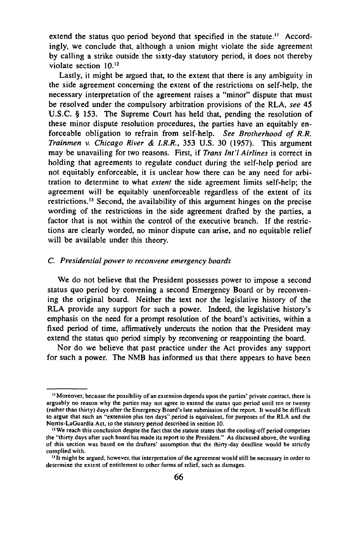extend the status quo period beyond that specified in the statute.<sup> $11$ </sup> Accordingly, we conclude that, although a union might violate the side agreement by calling a strike outside the sixty-day statutory period, it does not thereby violate section 10.12

Lastly, it might be argued that, to the extent that there is any ambiguity in the side agreement concerning the extent of the restrictions on self-help, the necessary interpretation of the agreement raises a "minor" dispute that must be resolved under the compulsory arbitration provisions of the RLA, *see* 45 U.S.C. § 153. The Supreme Court has held that, pending the resolution of these minor dispute resolution procedures, the parties have an equitably enforceable obligation to refrain from self-help. *See Brotherhood of R.R. Trainmen* v. *Chicago River & I.R.R.,* 353 U.S. 30 (1957). This argument may be unavailing for two reasons. First, if *Trans Int'l Airlines* is correct in holding that agreements to regulate conduct during the self-help period are not equitably enforceable, it is unclear how there can be any need for arbitration to determine to what *extent* the side agreement limits self-help; the agreement will be equitably unenforceable regardless of the extent of its restrictions.13 Second, the availability of this argument hinges on the precise wording of the restrictions in the side agreement drafted by the parties, a factor that is not within the control of the executive branch. If the restrictions are clearly worded, no minor dispute can arise, and no equitable relief will be available under this theory.

### C. *Presidential pow er to reconvene emergency boards*

We do not believe that the President possesses power to impose a second status quo period by convening a second Emergency Board or by reconvening the original board. Neither the text nor the legislative history of the RLA provide any support for such a power. Indeed, the legislative history's emphasis on the need for a prompt resolution of the board's activities, within a fixed period of time, affirmatively undercuts the notion that the President may extend the status quo period simply by reconvening or reappointing the board.

Nor do we believe that past practice under the Act provides any support for such a power. The NMB has informed us that there appears to have been

<sup>&</sup>lt;sup>11</sup> Moreover, because the possibility of an extension depends upon the parties' private contract, there is arguably no reason why the parties may not agree to extend the status quo period until ten or twenty (rather than thirty) days after the Emergency Board's late submission of the report. It would be difficult to argue that such an "extension plus ten days" period is equivalent, for purposes of the RLA and the Norris-LaGuardia Act, to the statutory period described in section 10.

<sup>&</sup>lt;sup>12</sup> We reach this conclusion despite the fact that the statute states that the cooling-off period comprises the "thirty days after such board has made its report to the President." As discussed above, the wording of this section was based on the drafters' assumption that the thirty-day deadline would be strictly complied with.

<sup>&</sup>lt;sup>13</sup> It might be argued, however, that interpretation of the agreement would still be necessary in order to determine the extent of entitlement to other forms of relief, such as damages.